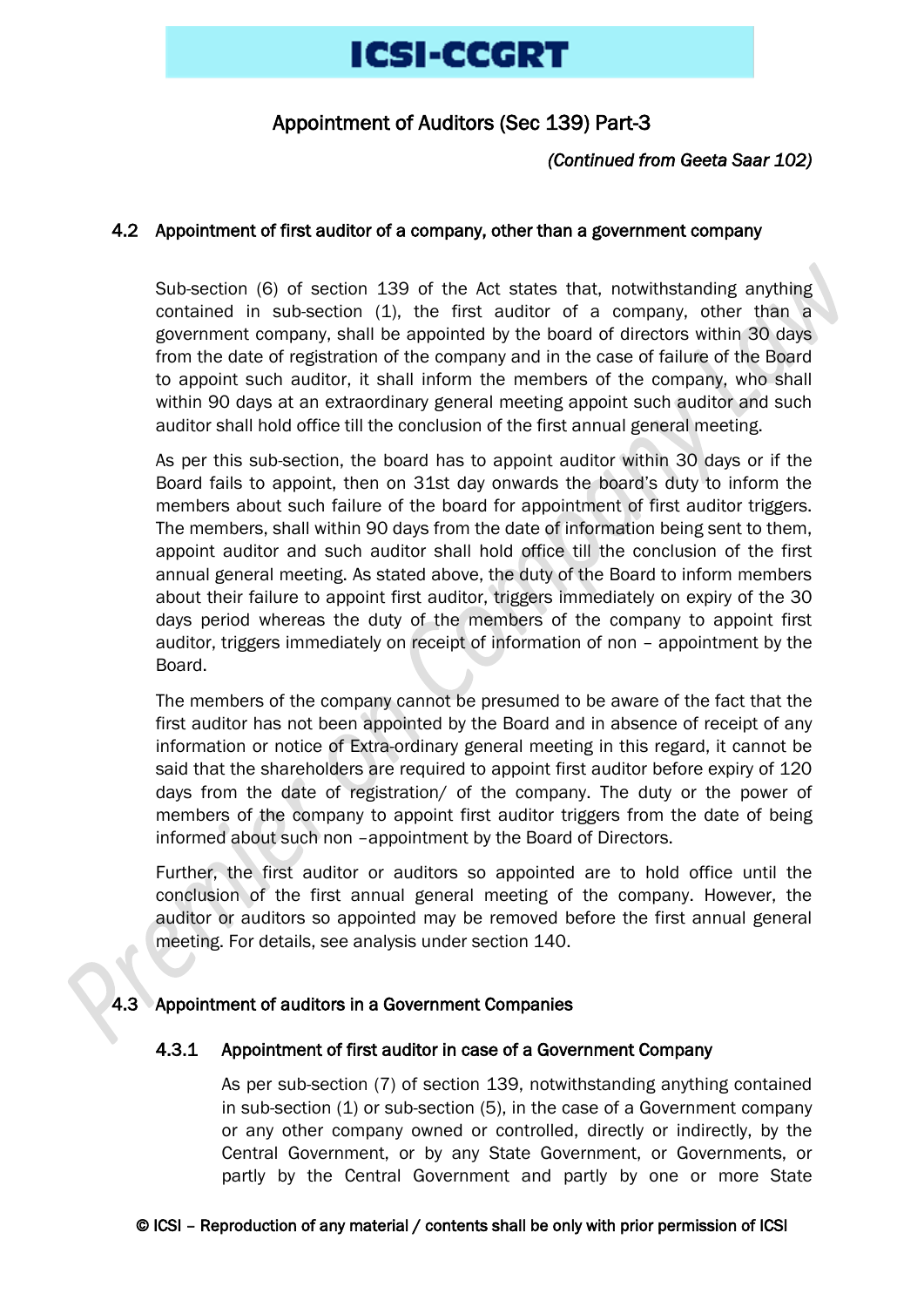# Appointment of Auditors (Sec 139) Part-3

# *(Continued from Geeta Saar 102)*

### 4.2 Appointment of first auditor of a company, other than a government company

Sub-section (6) of section 139 of the Act states that, notwithstanding anything contained in sub-section (1), the first auditor of a company, other than a government company, shall be appointed by the board of directors within 30 days from the date of registration of the company and in the case of failure of the Board to appoint such auditor, it shall inform the members of the company, who shall within 90 days at an extraordinary general meeting appoint such auditor and such auditor shall hold office till the conclusion of the first annual general meeting.

As per this sub-section, the board has to appoint auditor within 30 days or if the Board fails to appoint, then on 31st day onwards the board's duty to inform the members about such failure of the board for appointment of first auditor triggers. The members, shall within 90 days from the date of information being sent to them, appoint auditor and such auditor shall hold office till the conclusion of the first annual general meeting. As stated above, the duty of the Board to inform members about their failure to appoint first auditor, triggers immediately on expiry of the 30 days period whereas the duty of the members of the company to appoint first auditor, triggers immediately on receipt of information of non – appointment by the Board.

The members of the company cannot be presumed to be aware of the fact that the first auditor has not been appointed by the Board and in absence of receipt of any information or notice of Extra-ordinary general meeting in this regard, it cannot be said that the shareholders are required to appoint first auditor before expiry of 120 days from the date of registration/ of the company. The duty or the power of members of the company to appoint first auditor triggers from the date of being informed about such non –appointment by the Board of Directors.

Further, the first auditor or auditors so appointed are to hold office until the conclusion of the first annual general meeting of the company. However, the auditor or auditors so appointed may be removed before the first annual general meeting. For details, see analysis under section 140.

# 4.3 Appointment of auditors in a Government Companies

### 4.3.1 Appointment of first auditor in case of a Government Company

As per sub-section (7) of section 139, notwithstanding anything contained in sub-section (1) or sub-section (5), in the case of a Government company or any other company owned or controlled, directly or indirectly, by the Central Government, or by any State Government, or Governments, or partly by the Central Government and partly by one or more State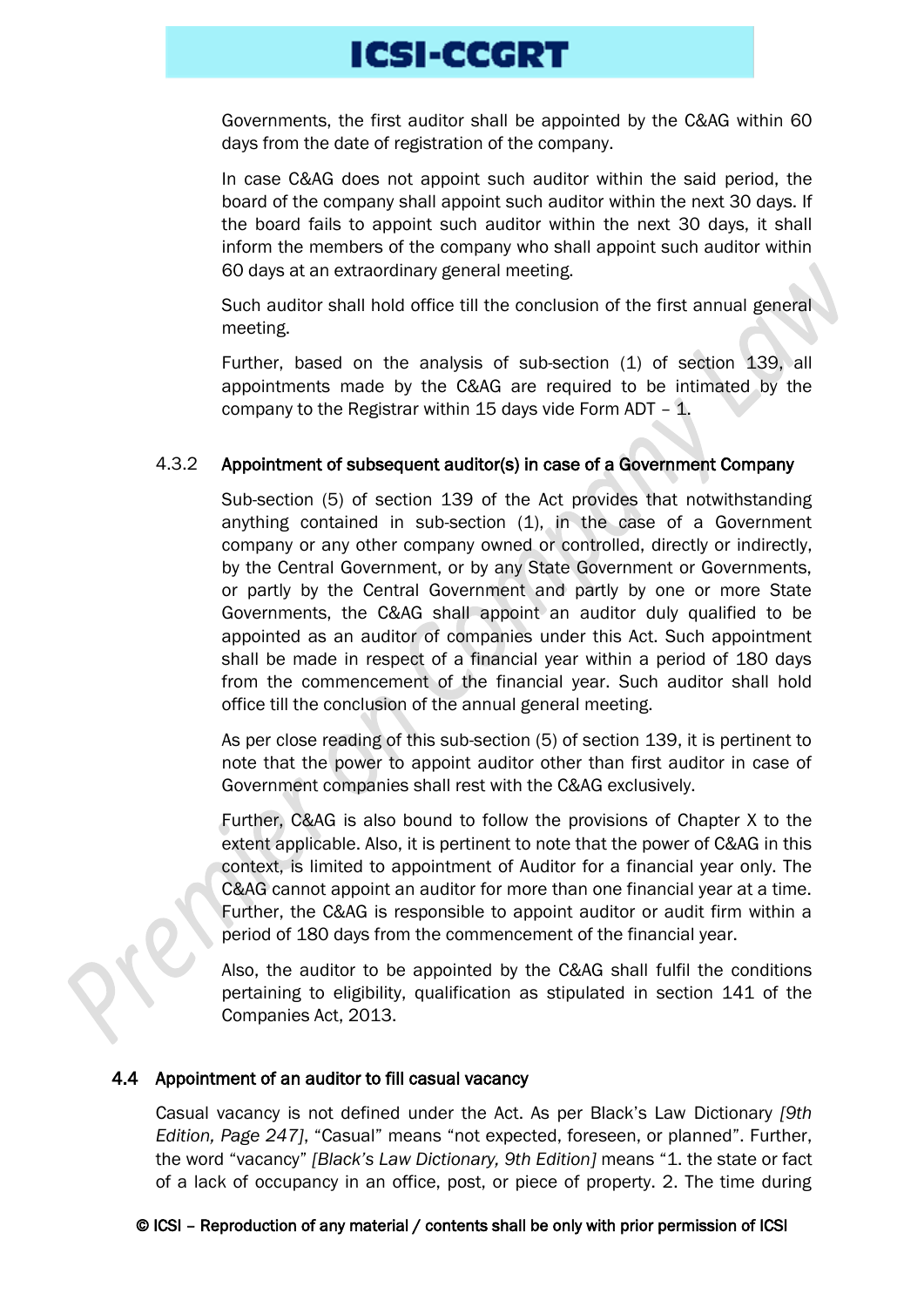Governments, the first auditor shall be appointed by the C&AG within 60 days from the date of registration of the company.

In case C&AG does not appoint such auditor within the said period, the board of the company shall appoint such auditor within the next 30 days. If the board fails to appoint such auditor within the next 30 days, it shall inform the members of the company who shall appoint such auditor within 60 days at an extraordinary general meeting.

Such auditor shall hold office till the conclusion of the first annual general meeting.

Further, based on the analysis of sub-section (1) of section 139, all appointments made by the C&AG are required to be intimated by the company to the Registrar within 15 days vide Form ADT  $-$  1.

# 4.3.2 Appointment of subsequent auditor(s) in case of a Government Company

Sub-section (5) of section 139 of the Act provides that notwithstanding anything contained in sub-section (1), in the case of a Government company or any other company owned or controlled, directly or indirectly, by the Central Government, or by any State Government or Governments, or partly by the Central Government and partly by one or more State Governments, the C&AG shall appoint an auditor duly qualified to be appointed as an auditor of companies under this Act. Such appointment shall be made in respect of a financial year within a period of 180 days from the commencement of the financial year. Such auditor shall hold office till the conclusion of the annual general meeting.

As per close reading of this sub-section (5) of section 139, it is pertinent to note that the power to appoint auditor other than first auditor in case of Government companies shall rest with the C&AG exclusively.

Further, C&AG is also bound to follow the provisions of Chapter X to the extent applicable. Also, it is pertinent to note that the power of C&AG in this context, is limited to appointment of Auditor for a financial year only. The C&AG cannot appoint an auditor for more than one financial year at a time. Further, the C&AG is responsible to appoint auditor or audit firm within a period of 180 days from the commencement of the financial year.

Also, the auditor to be appointed by the C&AG shall fulfil the conditions pertaining to eligibility, qualification as stipulated in section 141 of the Companies Act, 2013.

### 4.4 Appointment of an auditor to fill casual vacancy

Casual vacancy is not defined under the Act. As per Black's Law Dictionary *[9th Edition, Page 247]*, "Casual" means "not expected, foreseen, or planned". Further, the word "vacancy" *[Black's Law Dictionary, 9th Edition]* means "1. the state or fact of a lack of occupancy in an office, post, or piece of property. 2. The time during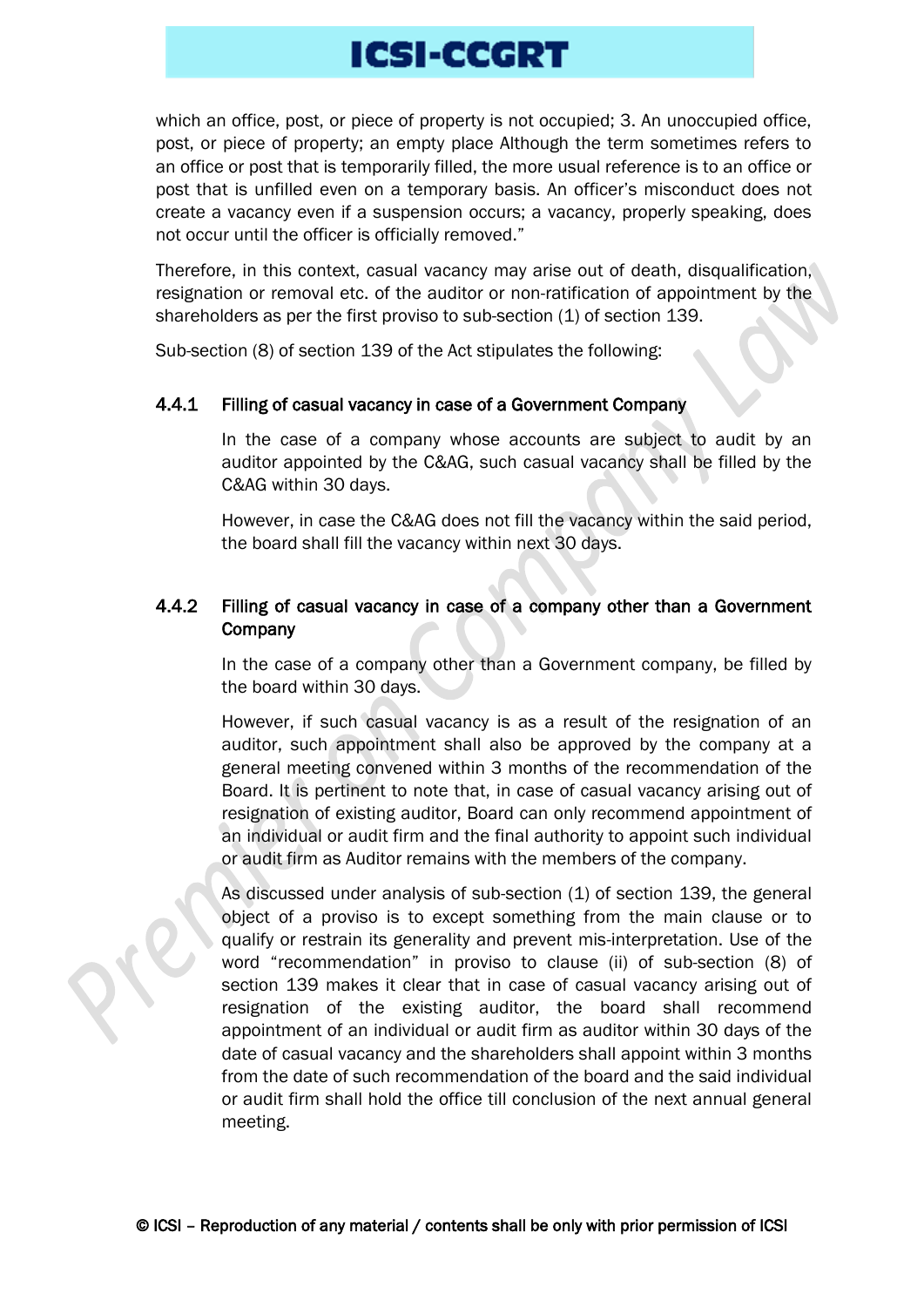which an office, post, or piece of property is not occupied; 3. An unoccupied office, post, or piece of property; an empty place Although the term sometimes refers to an office or post that is temporarily filled, the more usual reference is to an office or post that is unfilled even on a temporary basis. An officer's misconduct does not create a vacancy even if a suspension occurs; a vacancy, properly speaking, does not occur until the officer is officially removed."

Therefore, in this context, casual vacancy may arise out of death, disqualification, resignation or removal etc. of the auditor or non-ratification of appointment by the shareholders as per the first proviso to sub-section (1) of section 139.

Sub-section (8) of section 139 of the Act stipulates the following:

### 4.4.1 Filling of casual vacancy in case of a Government Company

In the case of a company whose accounts are subject to audit by an auditor appointed by the C&AG, such casual vacancy shall be filled by the C&AG within 30 days.

However, in case the C&AG does not fill the vacancy within the said period, the board shall fill the vacancy within next 30 days.

# 4.4.2 Filling of casual vacancy in case of a company other than a Government **Company**

In the case of a company other than a Government company, be filled by the board within 30 days.

However, if such casual vacancy is as a result of the resignation of an auditor, such appointment shall also be approved by the company at a general meeting convened within 3 months of the recommendation of the Board. It is pertinent to note that, in case of casual vacancy arising out of resignation of existing auditor, Board can only recommend appointment of an individual or audit firm and the final authority to appoint such individual or audit firm as Auditor remains with the members of the company.

As discussed under analysis of sub-section (1) of section 139, the general object of a proviso is to except something from the main clause or to qualify or restrain its generality and prevent mis-interpretation. Use of the word "recommendation" in proviso to clause (ii) of sub-section (8) of section 139 makes it clear that in case of casual vacancy arising out of resignation of the existing auditor, the board shall recommend appointment of an individual or audit firm as auditor within 30 days of the date of casual vacancy and the shareholders shall appoint within 3 months from the date of such recommendation of the board and the said individual or audit firm shall hold the office till conclusion of the next annual general meeting.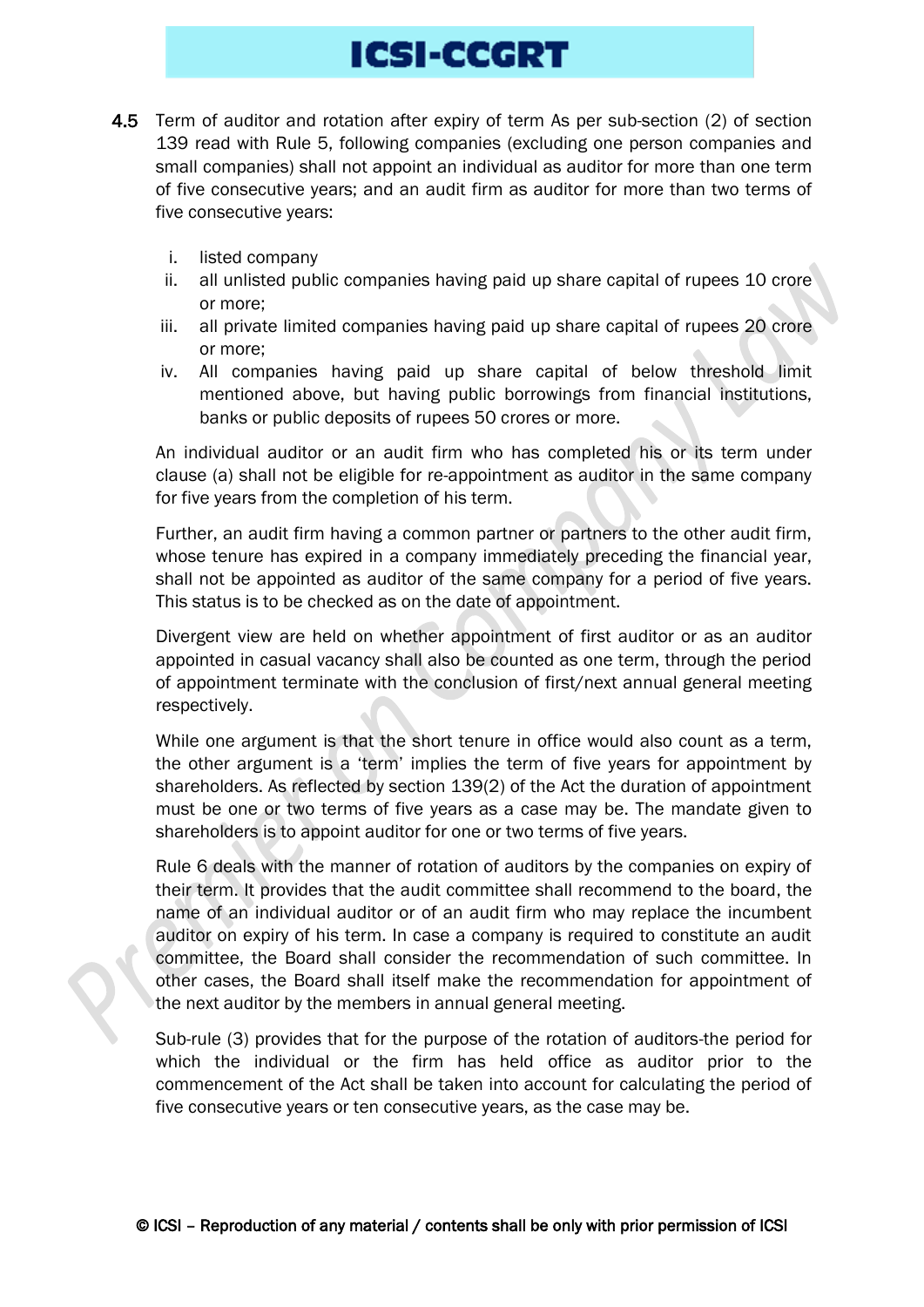- 4.5 Term of auditor and rotation after expiry of term As per sub-section (2) of section 139 read with Rule 5, following companies (excluding one person companies and small companies) shall not appoint an individual as auditor for more than one term of five consecutive years; and an audit firm as auditor for more than two terms of five consecutive years:
	- i. listed company
	- ii. all unlisted public companies having paid up share capital of rupees 10 crore or more;
	- iii. all private limited companies having paid up share capital of rupees 20 crore or more;
	- iv. All companies having paid up share capital of below threshold limit mentioned above, but having public borrowings from financial institutions, banks or public deposits of rupees 50 crores or more.

An individual auditor or an audit firm who has completed his or its term under clause (a) shall not be eligible for re-appointment as auditor in the same company for five years from the completion of his term.

Further, an audit firm having a common partner or partners to the other audit firm, whose tenure has expired in a company immediately preceding the financial year, shall not be appointed as auditor of the same company for a period of five years. This status is to be checked as on the date of appointment.

Divergent view are held on whether appointment of first auditor or as an auditor appointed in casual vacancy shall also be counted as one term, through the period of appointment terminate with the conclusion of first/next annual general meeting respectively.

While one argument is that the short tenure in office would also count as a term, the other argument is a 'term' implies the term of five years for appointment by shareholders. As reflected by section 139(2) of the Act the duration of appointment must be one or two terms of five years as a case may be. The mandate given to shareholders is to appoint auditor for one or two terms of five years.

Rule 6 deals with the manner of rotation of auditors by the companies on expiry of their term. It provides that the audit committee shall recommend to the board, the name of an individual auditor or of an audit firm who may replace the incumbent auditor on expiry of his term. In case a company is required to constitute an audit committee, the Board shall consider the recommendation of such committee. In other cases, the Board shall itself make the recommendation for appointment of the next auditor by the members in annual general meeting.

Sub-rule (3) provides that for the purpose of the rotation of auditors-the period for which the individual or the firm has held office as auditor prior to the commencement of the Act shall be taken into account for calculating the period of five consecutive years or ten consecutive years, as the case may be.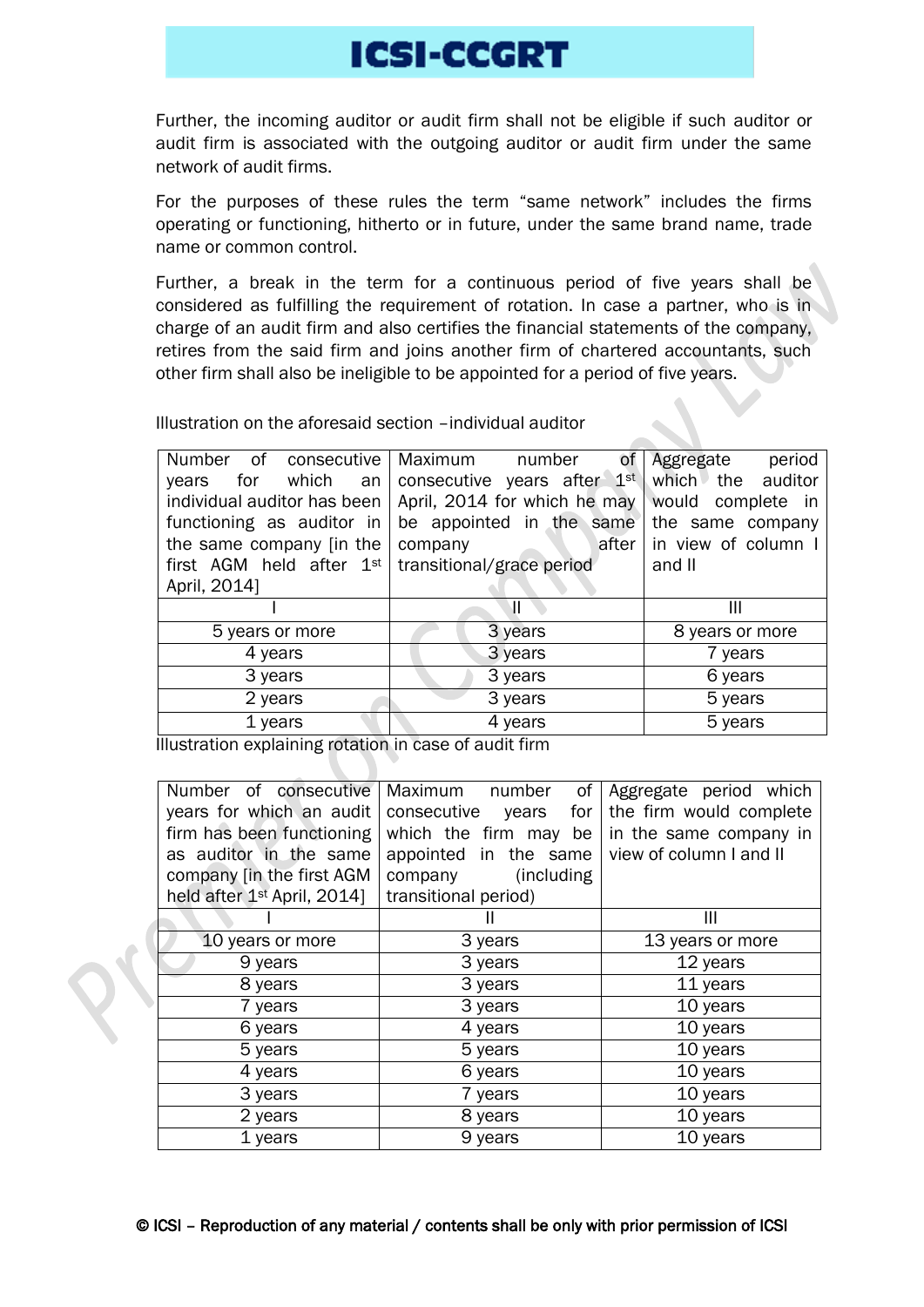Further, the incoming auditor or audit firm shall not be eligible if such auditor or audit firm is associated with the outgoing auditor or audit firm under the same network of audit firms.

For the purposes of these rules the term "same network" includes the firms operating or functioning, hitherto or in future, under the same brand name, trade name or common control.

Further, a break in the term for a continuous period of five years shall be considered as fulfilling the requirement of rotation. In case a partner, who is in charge of an audit firm and also certifies the financial statements of the company, retires from the said firm and joins another firm of chartered accountants, such other firm shall also be ineligible to be appointed for a period of five years.

Illustration on the aforesaid section –individual auditor

| Number<br>of consecutive    | Maximum<br>number<br>of       | Aggregate<br>period |
|-----------------------------|-------------------------------|---------------------|
| for which<br>years<br>an    | consecutive years after $1st$ | which the auditor   |
| individual auditor has been | April, 2014 for which he may  | would complete in   |
| functioning as auditor in   | be appointed in the same      | the same company    |
| the same company (in the    | after<br>company              | in view of column I |
| first AGM held after $1st$  | transitional/grace period     | and II              |
| April, 2014]                |                               |                     |
|                             | Ш                             | Ш                   |
| 5 years or more             | 3 years                       | 8 years or more     |
| 4 years                     |                               | 7 years             |
|                             | 3 years                       |                     |
| 3 years                     | 3 years                       | 6 years             |
| 2 years                     | 3 years                       | 5 years             |
| 1 years                     | 4 years                       | 5 years             |

Illustration explaining rotation in case of audit firm

| Number of consecutive                   | Maximum number<br>οf        | Aggregate period which  |
|-----------------------------------------|-----------------------------|-------------------------|
| years for which an audit                | consecutive<br>for<br>years | the firm would complete |
| firm has been functioning               | which the firm may be       | in the same company in  |
| as auditor in the same                  | appointed in the same       | view of column I and II |
| company [in the first AGM               | (including<br>company       |                         |
| held after 1 <sup>st</sup> April, 2014] | transitional period)        |                         |
|                                         |                             | Ш                       |
| 10 years or more                        | 3 years                     | 13 years or more        |
| 9 years                                 | 3 years                     | 12 years                |
| 8 years                                 | 3 years                     | 11 years                |
| 7 years                                 | 3 years                     | 10 years                |
| 6 years                                 | 4 years                     | 10 years                |
| 5 years                                 | 5 years                     | 10 years                |
| 4 years                                 | 6 years                     | 10 years                |
| 3 years                                 | 7 years                     | 10 years                |
| 2 years                                 | 8 years                     | 10 years                |
| 1 years                                 | 9 years                     | 10 years                |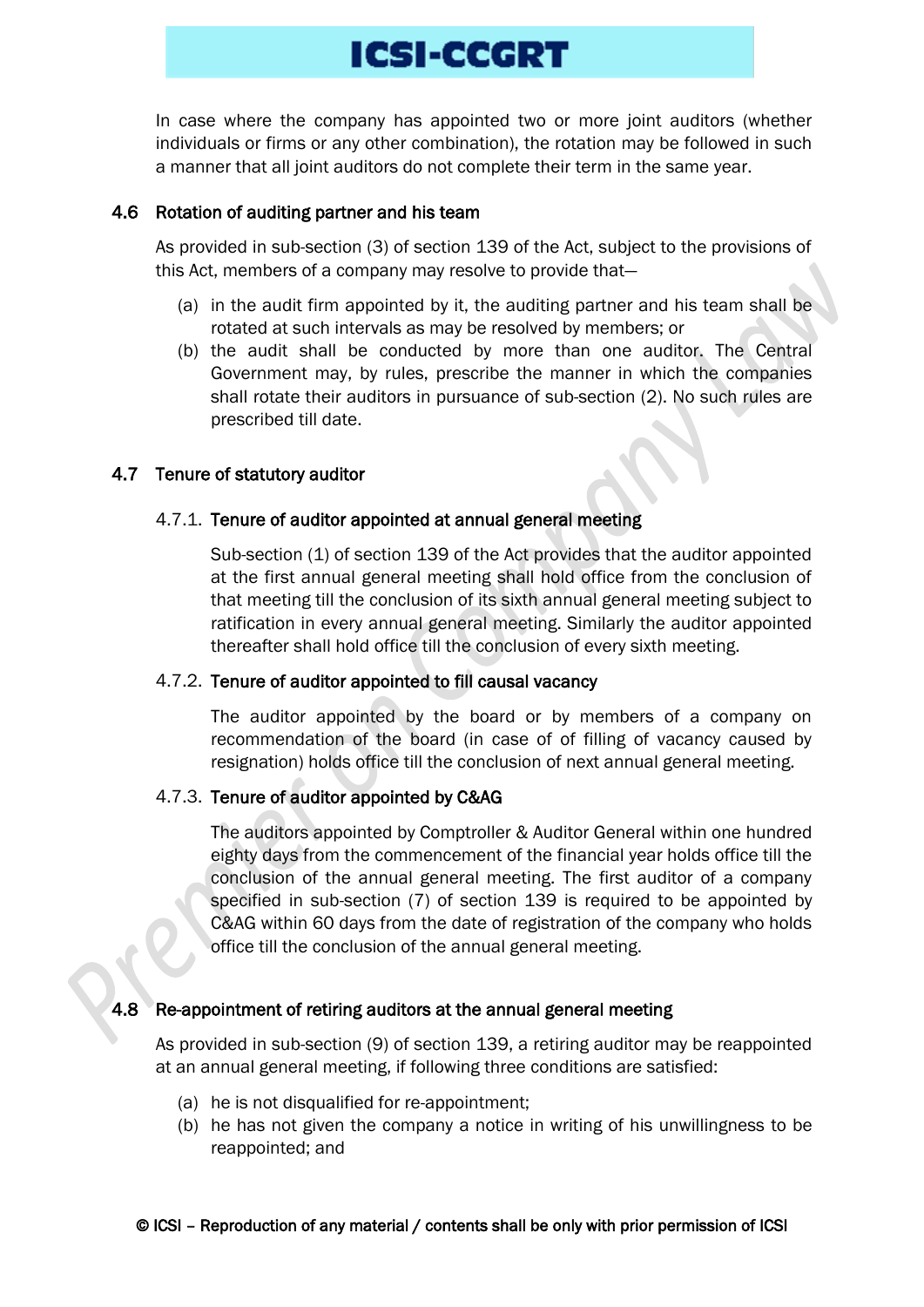In case where the company has appointed two or more joint auditors (whether individuals or firms or any other combination), the rotation may be followed in such a manner that all joint auditors do not complete their term in the same year.

#### 4.6 Rotation of auditing partner and his team

As provided in sub-section (3) of section 139 of the Act, subject to the provisions of this Act, members of a company may resolve to provide that—

- (a) in the audit firm appointed by it, the auditing partner and his team shall be rotated at such intervals as may be resolved by members; or
- (b) the audit shall be conducted by more than one auditor. The Central Government may, by rules, prescribe the manner in which the companies shall rotate their auditors in pursuance of sub-section (2). No such rules are prescribed till date.

#### 4.7 Tenure of statutory auditor

#### 4.7.1. Tenure of auditor appointed at annual general meeting

Sub-section (1) of section 139 of the Act provides that the auditor appointed at the first annual general meeting shall hold office from the conclusion of that meeting till the conclusion of its sixth annual general meeting subject to ratification in every annual general meeting. Similarly the auditor appointed thereafter shall hold office till the conclusion of every sixth meeting.

#### 4.7.2. Tenure of auditor appointed to fill causal vacancy

The auditor appointed by the board or by members of a company on recommendation of the board (in case of of filling of vacancy caused by resignation) holds office till the conclusion of next annual general meeting.

### 4.7.3. Tenure of auditor appointed by C&AG

The auditors appointed by Comptroller & Auditor General within one hundred eighty days from the commencement of the financial year holds office till the conclusion of the annual general meeting. The first auditor of a company specified in sub-section (7) of section 139 is required to be appointed by C&AG within 60 days from the date of registration of the company who holds office till the conclusion of the annual general meeting.

#### Re-appointment of retiring auditors at the annual general meeting

As provided in sub-section (9) of section 139, a retiring auditor may be reappointed at an annual general meeting, if following three conditions are satisfied:

- (a) he is not disqualified for re-appointment;
- (b) he has not given the company a notice in writing of his unwillingness to be reappointed; and